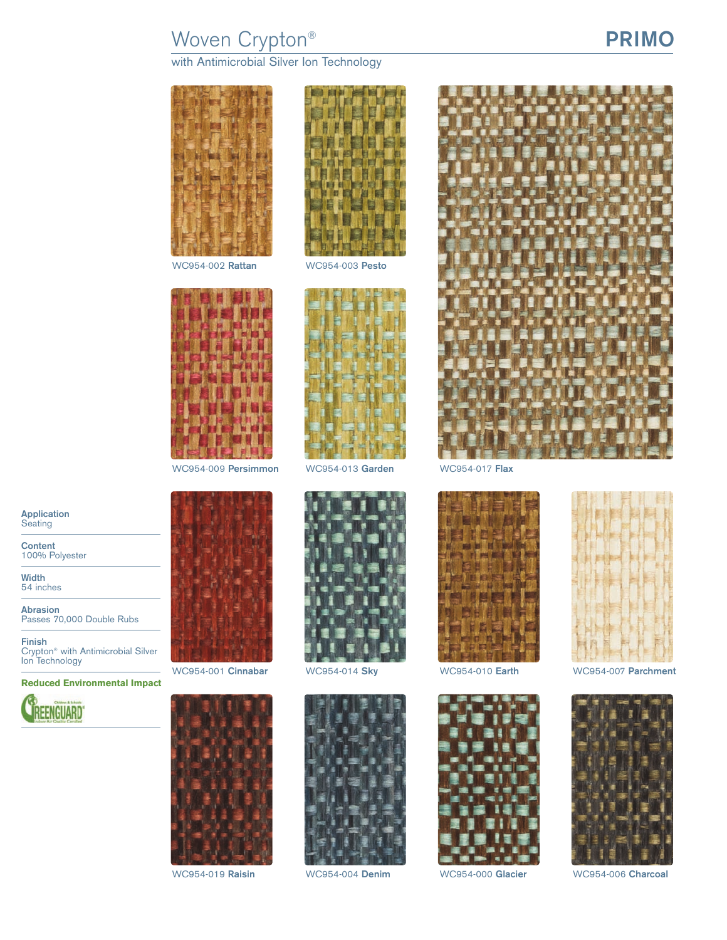# Woven Crypton® **PRIMO**

with Antimicrobial Silver Ion Technology





WC954-002 **Rattan** WC954-003 **Pesto**

















WC954-001 **Cinnabar** WC954-014 **Sky** WC954-010 **Earth** WC954-007 **Parchment**



WC954-019 **Raisin** WC954-004 **Denim** WC954-000 **Glacier** WC954-006 **Charcoal**

**Application Seating** 

**Content** 100% Polyester

**Width** 54 inches

**Abrasion** Passes 70,000 Double Rubs

**Finish** Crypton® with Antimicrobial Silver Ion Technology

**Reduced Environmental Impact**